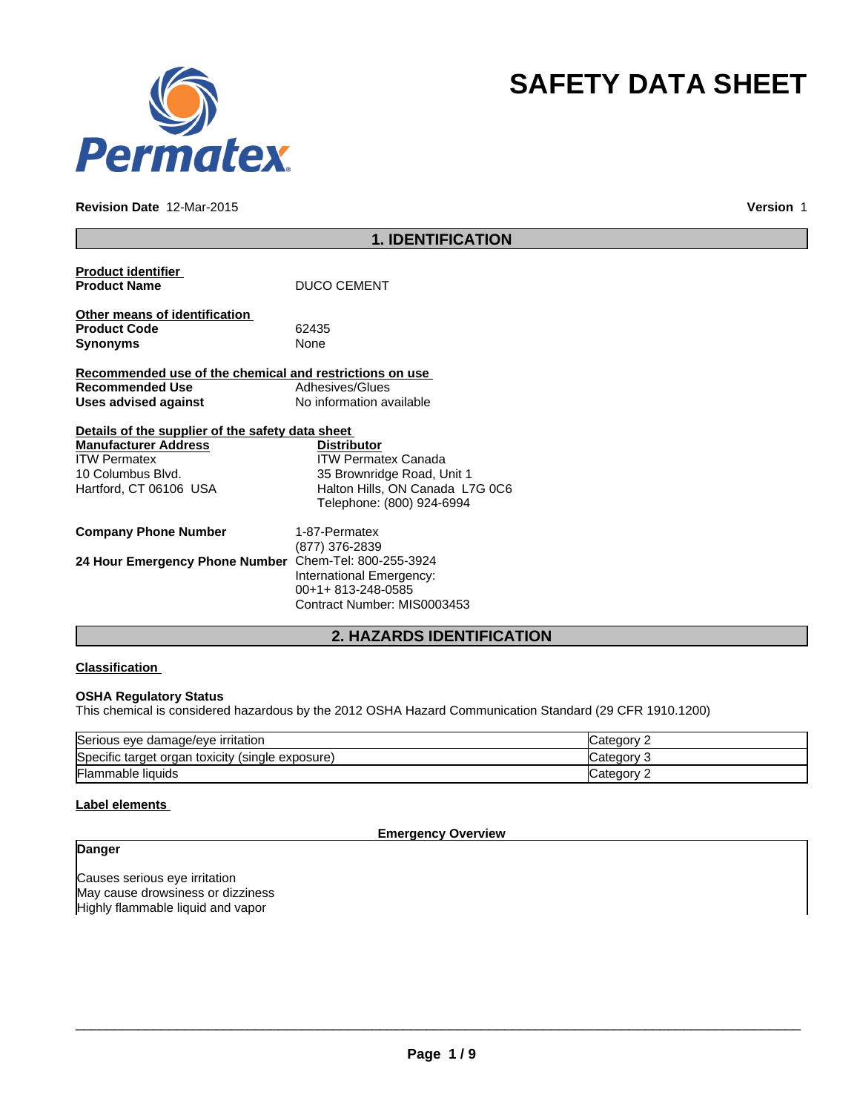

#### **Revision Date** 12-Mar-2015

**Version** 1

**SAFETY DATA SHEET**

|                                                         | <b>1. IDENTIFICATION</b>        |
|---------------------------------------------------------|---------------------------------|
| <b>Product identifier</b>                               |                                 |
| <b>Product Name</b>                                     | <b>DUCO CEMENT</b>              |
| Other means of identification                           |                                 |
| <b>Product Code</b>                                     | 62435                           |
| <b>Synonyms</b>                                         | None                            |
| Recommended use of the chemical and restrictions on use |                                 |
| <b>Recommended Use</b>                                  | Adhesives/Glues                 |
| <b>Uses advised against</b>                             | No information available        |
|                                                         |                                 |
| Details of the supplier of the safety data sheet        |                                 |
| <b>Manufacturer Address</b>                             | <b>Distributor</b>              |
| <b>ITW Permatex</b>                                     | <b>ITW Permatex Canada</b>      |
| 10 Columbus Blvd.                                       | 35 Brownridge Road, Unit 1      |
| Hartford, CT 06106 USA                                  | Halton Hills, ON Canada L7G 0C6 |
|                                                         | Telephone: (800) 924-6994       |
| <b>Company Phone Number</b>                             | 1-87-Permatex                   |
|                                                         | (877) 376-2839                  |
| 24 Hour Emergency Phone Number                          | Chem-Tel: 800-255-3924          |
|                                                         | International Emergency:        |
|                                                         | 00+1+813-248-0585               |
|                                                         | Contract Number: MIS0003453     |
|                                                         |                                 |

## **2. HAZARDS IDENTIFICATION**

## **Classification**

#### **OSHA Regulatory Status**

This chemical is considered hazardous by the 2012 OSHA Hazard Communication Standard (29 CFR 1910.1200)

| Serious eye damage/eye irritation                | <b>Category</b> |
|--------------------------------------------------|-----------------|
| Specific target organ toxicity (single exposure) | Category 3      |
| <b>Flammable liquids</b>                         | ICategory 2     |

## **Label elements**

**Emergency Overview**

# **Danger**

Causes serious eye irritation May cause drowsiness or dizziness Highly flammable liquid and vapor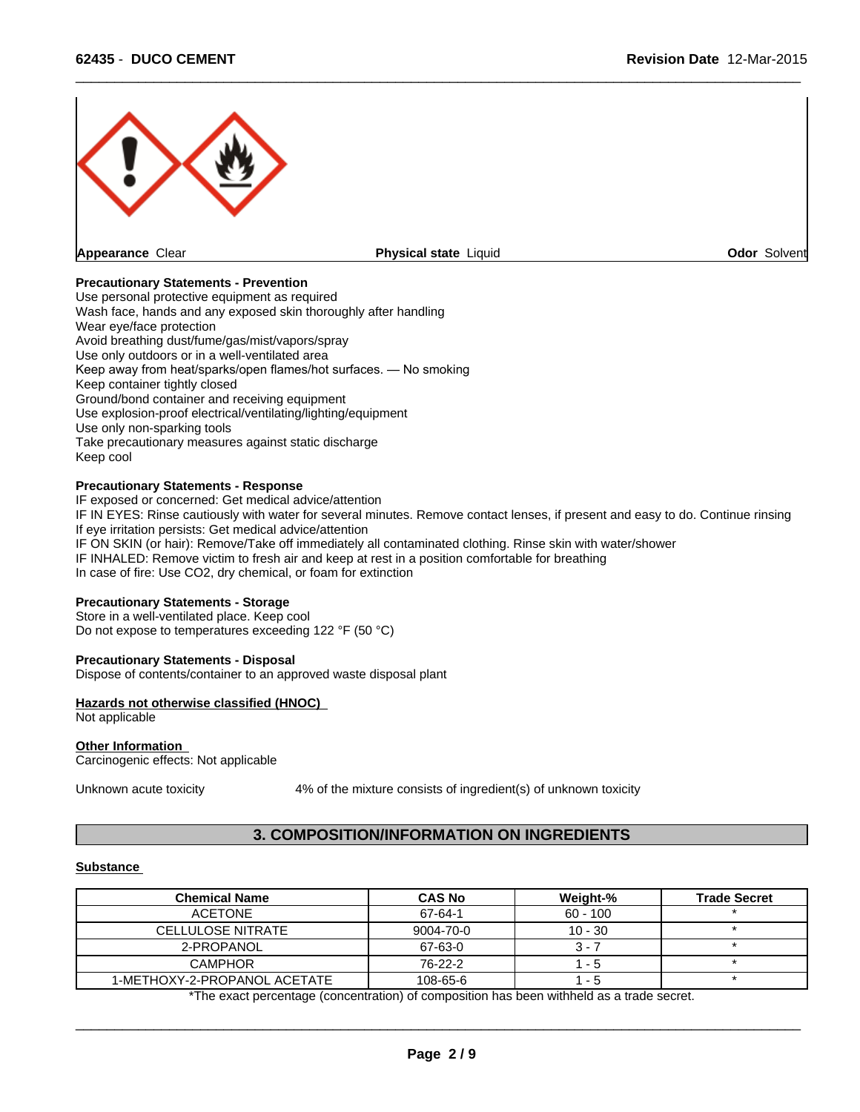

## **Precautionary Statements - Prevention**

Use personal protective equipment as required Wash face, hands and any exposed skin thoroughly after handling Wear eye/face protection Avoid breathing dust/fume/gas/mist/vapors/spray Use only outdoors or in a well-ventilated area Keep away from heat/sparks/open flames/hot surfaces. — No smoking Keep container tightly closed Ground/bond container and receiving equipment Use explosion-proof electrical/ventilating/lighting/equipment Use only non-sparking tools Take precautionary measures against static discharge Keep cool

#### **Precautionary Statements - Response**

IF exposed or concerned: Get medical advice/attention IF IN EYES: Rinse cautiously with water for several minutes. Remove contact lenses, if present and easy to do. Continue rinsing If eye irritation persists: Get medical advice/attention IF ON SKIN (or hair): Remove/Take off immediately all contaminated clothing. Rinse skin with water/shower IF INHALED: Remove victim to fresh air and keep at rest in a position comfortable for breathing In case of fire: Use CO2, dry chemical, or foam for extinction

## **Precautionary Statements - Storage**

Store in a well-ventilated place. Keep cool Do not expose to temperatures exceeding 122 °F (50 °C)

#### **Precautionary Statements - Disposal**

Dispose of contents/container to an approved waste disposal plant

#### **Hazards not otherwise classified (HNOC)**

Not applicable

#### **Other Information**

Carcinogenic effects: Not applicable

Unknown acute toxicity 4% of the mixture consists of ingredient(s) of unknown toxicity

# **3. COMPOSITION/INFORMATION ON INGREDIENTS**

### **Substance**

| <b>Chemical Name</b>         | <b>CAS No</b> | Weight-%   | <b>Trade Secret</b> |
|------------------------------|---------------|------------|---------------------|
| <b>ACETONE</b>               | 67-64-1       | $60 - 100$ |                     |
| <b>CELLULOSE NITRATE</b>     | 9004-70-0     | $10 - 30$  |                     |
| 2-PROPANOL                   | 67-63-0       | $3 - 7$    |                     |
| <b>CAMPHOR</b>               | 76-22-2       | $1 - 5$    |                     |
| 1-METHOXY-2-PROPANOL ACETATE | 108-65-6      | $1 - 5$    |                     |

\*The exact percentage (concentration) of composition has been withheld as a trade secret.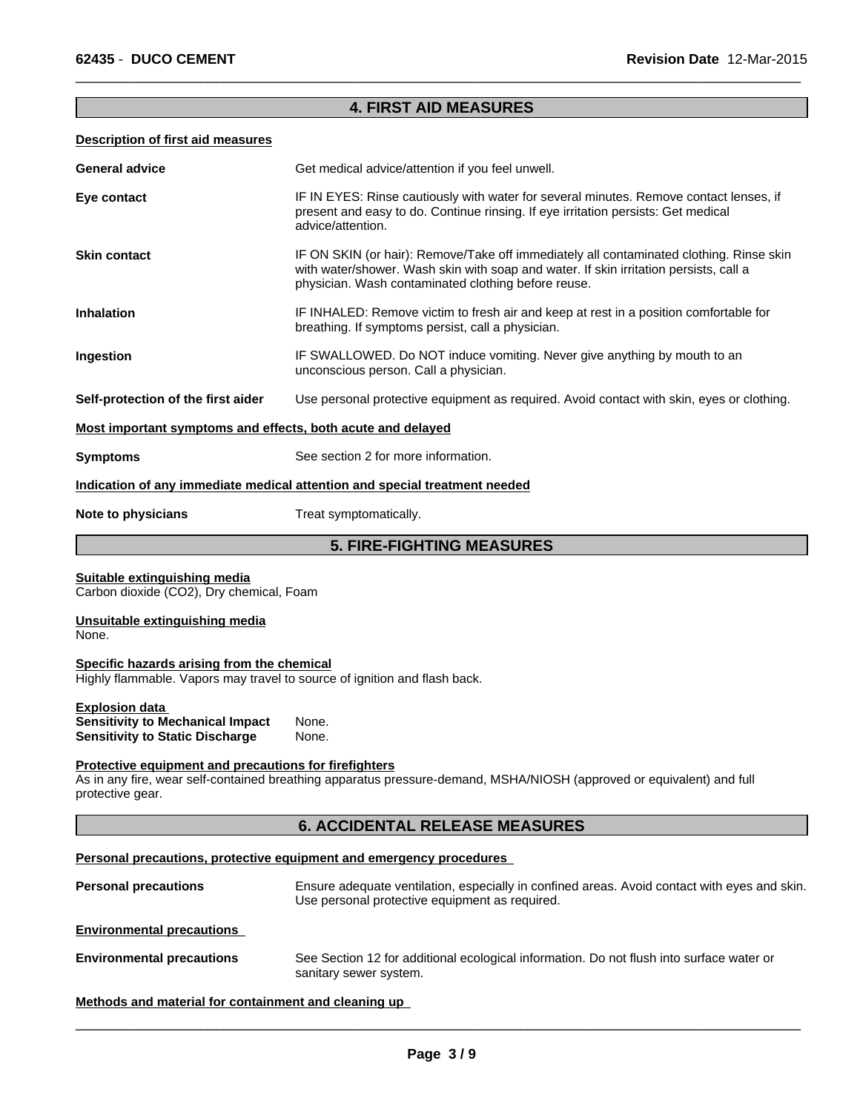# **4. FIRST AID MEASURES**

 $\overline{\phantom{a}}$  ,  $\overline{\phantom{a}}$  ,  $\overline{\phantom{a}}$  ,  $\overline{\phantom{a}}$  ,  $\overline{\phantom{a}}$  ,  $\overline{\phantom{a}}$  ,  $\overline{\phantom{a}}$  ,  $\overline{\phantom{a}}$  ,  $\overline{\phantom{a}}$  ,  $\overline{\phantom{a}}$  ,  $\overline{\phantom{a}}$  ,  $\overline{\phantom{a}}$  ,  $\overline{\phantom{a}}$  ,  $\overline{\phantom{a}}$  ,  $\overline{\phantom{a}}$  ,  $\overline{\phantom{a}}$ 

## **Description of first aid measures**

| <b>General advice</b>                                                                                                   | Get medical advice/attention if you feel unwell.                                                                                                                                                                                        |  |  |  |  |
|-------------------------------------------------------------------------------------------------------------------------|-----------------------------------------------------------------------------------------------------------------------------------------------------------------------------------------------------------------------------------------|--|--|--|--|
| Eye contact                                                                                                             | IF IN EYES: Rinse cautiously with water for several minutes. Remove contact lenses, if<br>present and easy to do. Continue rinsing. If eye irritation persists: Get medical<br>advice/attention.                                        |  |  |  |  |
| <b>Skin contact</b>                                                                                                     | IF ON SKIN (or hair): Remove/Take off immediately all contaminated clothing. Rinse skin<br>with water/shower. Wash skin with soap and water. If skin irritation persists, call a<br>physician. Wash contaminated clothing before reuse. |  |  |  |  |
| <b>Inhalation</b>                                                                                                       | IF INHALED: Remove victim to fresh air and keep at rest in a position comfortable for<br>breathing. If symptoms persist, call a physician.                                                                                              |  |  |  |  |
| Ingestion                                                                                                               | IF SWALLOWED. Do NOT induce vomiting. Never give anything by mouth to an<br>unconscious person. Call a physician.                                                                                                                       |  |  |  |  |
| Self-protection of the first aider                                                                                      | Use personal protective equipment as required. Avoid contact with skin, eyes or clothing.                                                                                                                                               |  |  |  |  |
| Most important symptoms and effects, both acute and delayed                                                             |                                                                                                                                                                                                                                         |  |  |  |  |
| <b>Symptoms</b>                                                                                                         | See section 2 for more information.                                                                                                                                                                                                     |  |  |  |  |
|                                                                                                                         | Indication of any immediate medical attention and special treatment needed                                                                                                                                                              |  |  |  |  |
| Note to physicians                                                                                                      | Treat symptomatically.                                                                                                                                                                                                                  |  |  |  |  |
|                                                                                                                         | <b>5. FIRE-FIGHTING MEASURES</b>                                                                                                                                                                                                        |  |  |  |  |
| Suitable extinguishing media<br>Carbon dioxide (CO2), Dry chemical, Foam                                                |                                                                                                                                                                                                                                         |  |  |  |  |
| Unsuitable extinguishing media<br>None.                                                                                 |                                                                                                                                                                                                                                         |  |  |  |  |
| Specific hazards arising from the chemical<br>Highly flammable. Vapors may travel to source of ignition and flash back. |                                                                                                                                                                                                                                         |  |  |  |  |
| <b>Explosion data</b><br><b>Sensitivity to Mechanical Impact</b><br><b>Sensitivity to Static Discharge</b>              | None.<br>None.                                                                                                                                                                                                                          |  |  |  |  |
| <b>Protective equipment and precautions for firefighters</b><br>protective gear.                                        | As in any fire, wear self-contained breathing apparatus pressure-demand, MSHA/NIOSH (approved or equivalent) and full                                                                                                                   |  |  |  |  |
|                                                                                                                         | <b>6. ACCIDENTAL RELEASE MEASURES</b>                                                                                                                                                                                                   |  |  |  |  |
|                                                                                                                         | Personal precautions, protective equipment and emergency procedures                                                                                                                                                                     |  |  |  |  |
| <b>Personal precautions</b>                                                                                             | Ensure adequate ventilation, especially in confined areas. Avoid contact with eyes and skin.<br>Use personal protective equipment as required.                                                                                          |  |  |  |  |
| <b>Environmental precautions</b>                                                                                        |                                                                                                                                                                                                                                         |  |  |  |  |
| <b>Environmental precautions</b>                                                                                        | See Section 12 for additional ecological information. Do not flush into surface water or<br>sanitary sewer system.                                                                                                                      |  |  |  |  |

## **Methods and material for containment and cleaning up**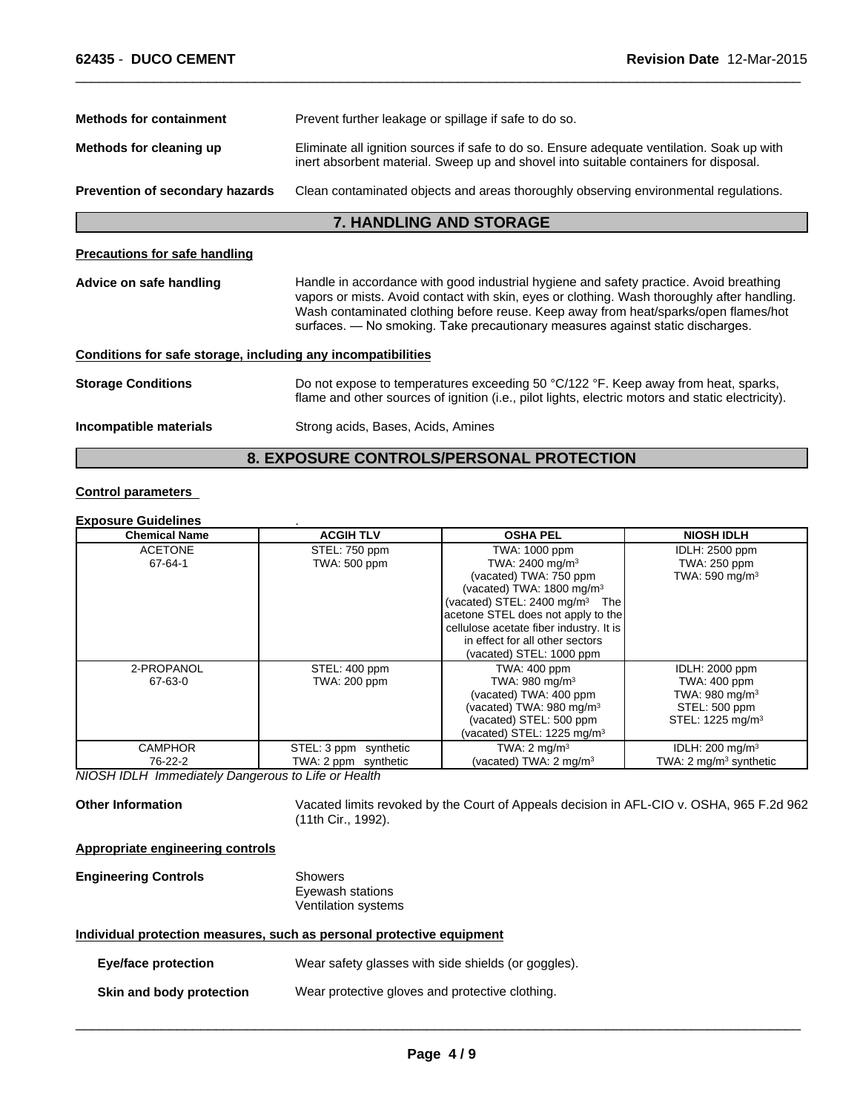| <b>Methods for containment</b>                               | Prevent further leakage or spillage if safe to do so.                                                                                                                                                                                                                                                                                                          |  |  |
|--------------------------------------------------------------|----------------------------------------------------------------------------------------------------------------------------------------------------------------------------------------------------------------------------------------------------------------------------------------------------------------------------------------------------------------|--|--|
| Methods for cleaning up                                      | Eliminate all ignition sources if safe to do so. Ensure adequate ventilation. Soak up with<br>inert absorbent material. Sweep up and shovel into suitable containers for disposal.                                                                                                                                                                             |  |  |
| Prevention of secondary hazards                              | Clean contaminated objects and areas thoroughly observing environmental regulations.                                                                                                                                                                                                                                                                           |  |  |
|                                                              | <b>7. HANDLING AND STORAGE</b>                                                                                                                                                                                                                                                                                                                                 |  |  |
| <b>Precautions for safe handling</b>                         |                                                                                                                                                                                                                                                                                                                                                                |  |  |
| Advice on safe handling                                      | Handle in accordance with good industrial hygiene and safety practice. Avoid breathing<br>vapors or mists. Avoid contact with skin, eyes or clothing. Wash thoroughly after handling.<br>Wash contaminated clothing before reuse. Keep away from heat/sparks/open flames/hot<br>surfaces. — No smoking. Take precautionary measures against static discharges. |  |  |
| Conditions for safe storage, including any incompatibilities |                                                                                                                                                                                                                                                                                                                                                                |  |  |
| <b>Storage Conditions</b>                                    | Do not expose to temperatures exceeding 50 °C/122 °F. Keep away from heat, sparks,<br>flame and other sources of ignition (i.e., pilot lights, electric motors and static electricity).                                                                                                                                                                        |  |  |
| Incompatible materials                                       | Strong acids, Bases, Acids, Amines                                                                                                                                                                                                                                                                                                                             |  |  |
|                                                              | <b>8. EXPOSURE CONTROLS/PERSONAL PROTECTION</b>                                                                                                                                                                                                                                                                                                                |  |  |

#### **Control parameters**

### **Exposure Guidelines** .

|                                                                                                            | <b>NIOSH IDLH</b> |
|------------------------------------------------------------------------------------------------------------|-------------------|
| <b>ACETONE</b><br>STEL: 750 ppm<br>TWA: 1000 ppm<br><b>IDLH: 2500 ppm</b>                                  |                   |
| 67-64-1<br>TWA: 2400 mg/m <sup>3</sup><br>TWA: 500 ppm<br>TWA: 250 ppm                                     |                   |
| (vacated) TWA: 750 ppm<br>TWA: 590 mg/m $3$                                                                |                   |
| (vacated) TWA: $1800 \text{ mg/m}^3$                                                                       |                   |
| (vacated) STEL: $2400 \text{ mg/m}^3$ The                                                                  |                   |
| acetone STEL does not apply to the                                                                         |                   |
| cellulose acetate fiber industry. It is                                                                    |                   |
| in effect for all other sectors                                                                            |                   |
| (vacated) STEL: 1000 ppm                                                                                   |                   |
| 2-PROPANOL<br>TWA: 400 ppm<br>STEL: 400 ppm<br>IDLH: 2000 ppm                                              |                   |
| TWA: 980 mg/m <sup>3</sup><br>67-63-0<br>TWA: 400 ppm<br>TWA: 200 ppm                                      |                   |
| (vacated) TWA: 400 ppm<br>TWA: 980 mg/m $3$                                                                |                   |
| (vacated) TWA: 980 mg/m <sup>3</sup><br>STEL: 500 ppm                                                      |                   |
| (vacated) STEL: 500 ppm<br>STEL: 1225 mg/m <sup>3</sup>                                                    |                   |
| (vacated) STEL: 1225 mg/m $3$                                                                              |                   |
| TWA: $2 \text{ mq/m}^3$<br><b>CAMPHOR</b><br>IDLH: $200 \text{ mg/m}^3$<br>STEL: 3 ppm synthetic           |                   |
| (vacated) TWA: 2 mg/m <sup>3</sup><br>TWA: $2 \text{ mg/m}^3$ synthetic<br>76-22-2<br>TWA: 2 ppm synthetic |                   |

*NIOSH IDLH Immediately Dangerous to Life or Health*

**Other Information** Vacated limits revoked by the Court of Appeals decision in AFL-CIO v. OSHA, 965 F.2d 962 (11th Cir., 1992).

**Appropriate engineering controls**

## **Engineering Controls** Showers

Eyewash stations Ventilation systems

## **Individual protection measures, such as personal protective equipment**

| <b>Eye/face protection</b> | Wear safety glasses with side shields (or goggles). |
|----------------------------|-----------------------------------------------------|
| Skin and body protection   | Wear protective gloves and protective clothing.     |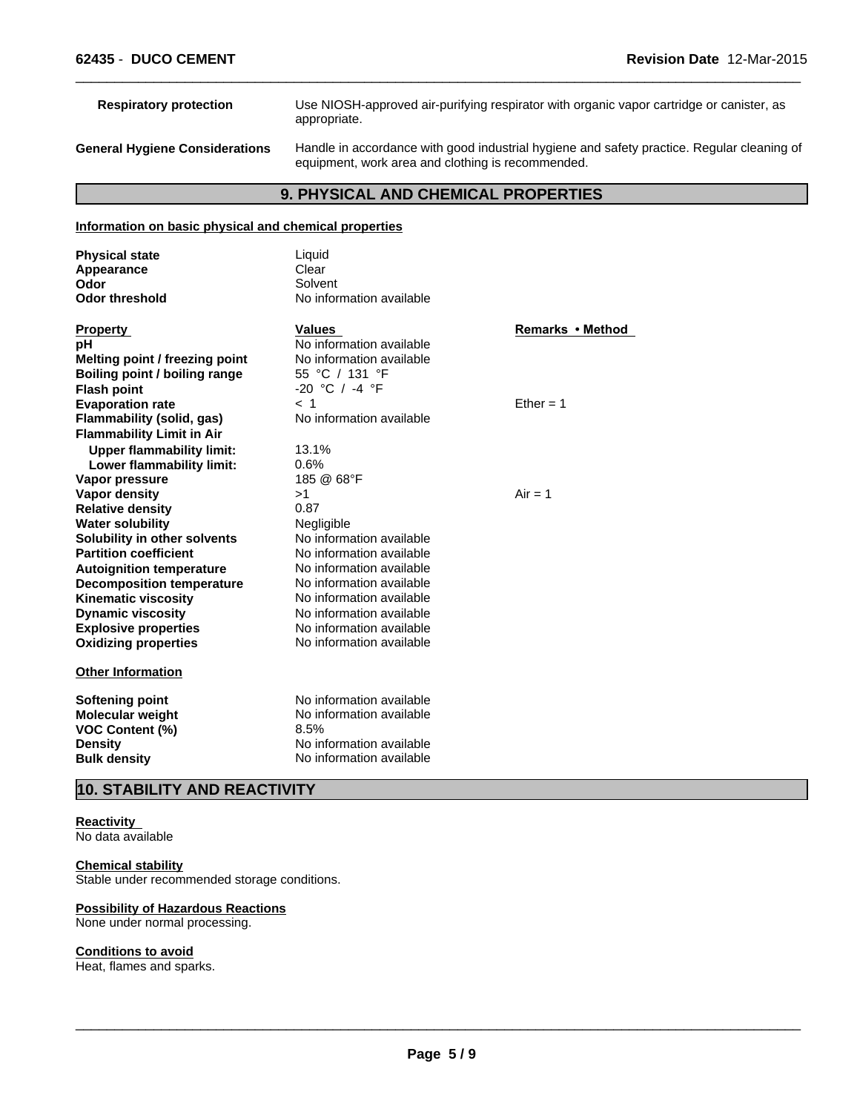| <b>Respiratory protection</b>         | Use NIOSH-approved air-purifying respirator with organic vapor cartridge or canister, as<br>appropriate.                                        |
|---------------------------------------|-------------------------------------------------------------------------------------------------------------------------------------------------|
| <b>General Hygiene Considerations</b> | Handle in accordance with good industrial hygiene and safety practice. Regular cleaning of<br>equipment, work area and clothing is recommended. |

# **9. PHYSICAL AND CHEMICAL PROPERTIES**

## **Information on basic physical and chemical properties**

| <b>Physical state</b><br>Appearance<br>Odor                                                                          | Liquid<br>Clear<br>Solvent                                                                                           |                  |
|----------------------------------------------------------------------------------------------------------------------|----------------------------------------------------------------------------------------------------------------------|------------------|
| <b>Odor threshold</b>                                                                                                | No information available                                                                                             |                  |
| <b>Property</b>                                                                                                      | <b>Values</b>                                                                                                        | Remarks • Method |
| рH                                                                                                                   | No information available                                                                                             |                  |
| Melting point / freezing point                                                                                       | No information available                                                                                             |                  |
| Boiling point / boiling range                                                                                        | 55 °C / 131 °F                                                                                                       |                  |
| <b>Flash point</b>                                                                                                   | $-20$ °C / $-4$ °F                                                                                                   |                  |
| <b>Evaporation rate</b>                                                                                              | $<$ 1                                                                                                                | Ether = $1$      |
| <b>Flammability (solid, gas)</b>                                                                                     | No information available                                                                                             |                  |
| <b>Flammability Limit in Air</b>                                                                                     |                                                                                                                      |                  |
| <b>Upper flammability limit:</b>                                                                                     | 13.1%                                                                                                                |                  |
| Lower flammability limit:                                                                                            | 0.6%                                                                                                                 |                  |
| Vapor pressure                                                                                                       | 185 @ 68°F                                                                                                           |                  |
| <b>Vapor density</b>                                                                                                 | >1                                                                                                                   | $Air = 1$        |
| <b>Relative density</b>                                                                                              | 0.87                                                                                                                 |                  |
| <b>Water solubility</b>                                                                                              | Negligible                                                                                                           |                  |
| Solubility in other solvents                                                                                         | No information available                                                                                             |                  |
| <b>Partition coefficient</b>                                                                                         | No information available                                                                                             |                  |
| <b>Autoignition temperature</b>                                                                                      | No information available                                                                                             |                  |
| <b>Decomposition temperature</b>                                                                                     | No information available                                                                                             |                  |
| <b>Kinematic viscosity</b>                                                                                           | No information available                                                                                             |                  |
| <b>Dynamic viscosity</b>                                                                                             | No information available                                                                                             |                  |
| <b>Explosive properties</b>                                                                                          | No information available                                                                                             |                  |
| <b>Oxidizing properties</b>                                                                                          | No information available                                                                                             |                  |
| <b>Other Information</b>                                                                                             |                                                                                                                      |                  |
| <b>Softening point</b><br><b>Molecular weight</b><br><b>VOC Content (%)</b><br><b>Density</b><br><b>Bulk density</b> | No information available<br>No information available<br>8.5%<br>No information available<br>No information available |                  |
|                                                                                                                      |                                                                                                                      |                  |

# **10. STABILITY AND REACTIVITY**

#### **Reactivity**  No data available

#### **Chemical stability**

Stable under recommended storage conditions.

#### **Possibility of Hazardous Reactions** None under normal processing.

## **Conditions to avoid**

Heat, flames and sparks.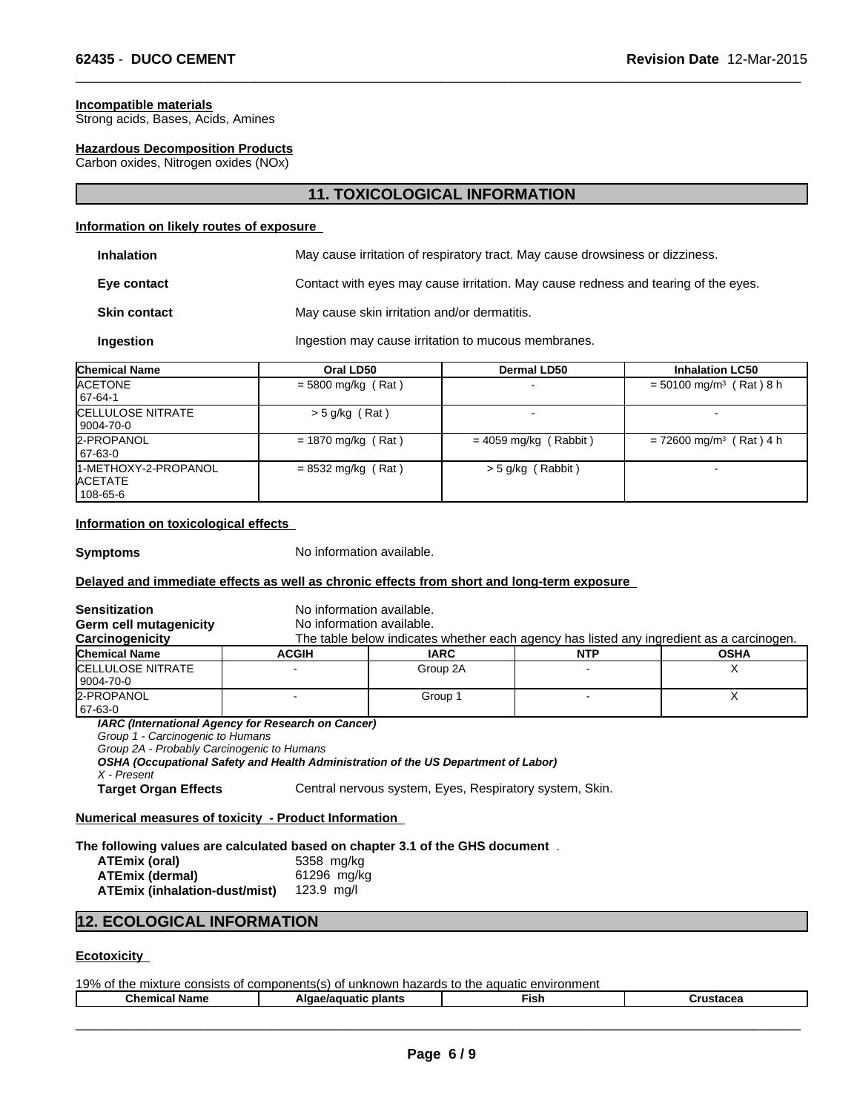#### **Incompatible materials**

Strong acids, Bases, Acids, Amines

## **Hazardous Decomposition Products**

Carbon oxides, Nitrogen oxides (NOx)

# **11. TOXICOLOGICAL INFORMATION**

 $\overline{\phantom{a}}$  ,  $\overline{\phantom{a}}$  ,  $\overline{\phantom{a}}$  ,  $\overline{\phantom{a}}$  ,  $\overline{\phantom{a}}$  ,  $\overline{\phantom{a}}$  ,  $\overline{\phantom{a}}$  ,  $\overline{\phantom{a}}$  ,  $\overline{\phantom{a}}$  ,  $\overline{\phantom{a}}$  ,  $\overline{\phantom{a}}$  ,  $\overline{\phantom{a}}$  ,  $\overline{\phantom{a}}$  ,  $\overline{\phantom{a}}$  ,  $\overline{\phantom{a}}$  ,  $\overline{\phantom{a}}$ 

### **Information on likely routes of exposure**

| May cause irritation of respiratory tract. May cause drowsiness or dizziness.      |
|------------------------------------------------------------------------------------|
| Contact with eyes may cause irritation. May cause redness and tearing of the eyes. |
| May cause skin irritation and/or dermatitis.                                       |
| Ingestion may cause irritation to mucous membranes.                                |
|                                                                                    |

| <b>Chemical Name</b>                               | Oral LD50            | Dermal LD50             | <b>Inhalation LC50</b>                |
|----------------------------------------------------|----------------------|-------------------------|---------------------------------------|
| <b>ACETONE</b>                                     | $=$ 5800 mg/kg (Rat) |                         | $= 50100$ mg/m <sup>3</sup> (Rat) 8 h |
| 67-64-1                                            |                      |                         |                                       |
| <b>CELLULOSE NITRATE</b><br>  9004-70-0            | $>$ 5 g/kg (Rat)     |                         |                                       |
| 2-PROPANOL<br>167-63-0                             | $= 1870$ mg/kg (Rat) | $= 4059$ mg/kg (Rabbit) | $= 72600$ mg/m <sup>3</sup> (Rat) 4 h |
| 1-METHOXY-2-PROPANOL<br><b>ACETATE</b><br>108-65-6 | $= 8532$ mg/kg (Rat) | $>$ 5 g/kg (Rabbit)     |                                       |

## **Information on toxicological effects**

**Symptoms** No information available.

#### **Delayed and immediate effects as well as chronic effects from short and long-term exposure**

| <b>Sensitization</b>                                                                           | No information available.                          |                                                                                          |            |             |  |
|------------------------------------------------------------------------------------------------|----------------------------------------------------|------------------------------------------------------------------------------------------|------------|-------------|--|
| Germ cell mutagenicity                                                                         | No information available.                          |                                                                                          |            |             |  |
| Carcinogenicity                                                                                |                                                    | The table below indicates whether each agency has listed any ingredient as a carcinogen. |            |             |  |
| <b>Chemical Name</b>                                                                           | <b>ACGIH</b>                                       | <b>IARC</b>                                                                              | <b>NTP</b> | <b>OSHA</b> |  |
| <b>ICELLULOSE NITRATE</b>                                                                      |                                                    | Group 2A                                                                                 |            | х           |  |
| 9004-70-0                                                                                      |                                                    |                                                                                          |            |             |  |
| 2-PROPANOL                                                                                     |                                                    | Group 1                                                                                  |            | X           |  |
| 67-63-0                                                                                        |                                                    |                                                                                          |            |             |  |
| Group 1 - Carcinogenic to Humans<br>Group 2A - Probably Carcinogenic to Humans<br>X - Present  | IARC (International Agency for Research on Cancer) | OSHA (Occupational Safety and Health Administration of the US Department of Labor)       |            |             |  |
| <b>Target Organ Effects</b>                                                                    |                                                    | Central nervous system, Eyes, Respiratory system, Skin.                                  |            |             |  |
| Numerical measures of toxicity - Product Information                                           |                                                    |                                                                                          |            |             |  |
| The following values are calculated based on chapter 3.1 of the GHS document.<br>ATEmix (oral) | 5358 mg/kg                                         |                                                                                          |            |             |  |

| <b>ATEmix (dermal)</b>               | 61296 mg/kg  |
|--------------------------------------|--------------|
| <b>ATEmix (inhalation-dust/mist)</b> | 123.9 $mq/l$ |

# **12. ECOLOGICAL INFORMATION**

#### **Ecotoxicity**

19% of the mixture consists of components(s) of unknown hazards to the aquatic environment

| . .<br>Name<br>Chemical | plants<br>. .<br>$\cdots$<br>ae/aquatic<br>יור | Fish | .<br>. |
|-------------------------|------------------------------------------------|------|--------|
|                         |                                                |      |        |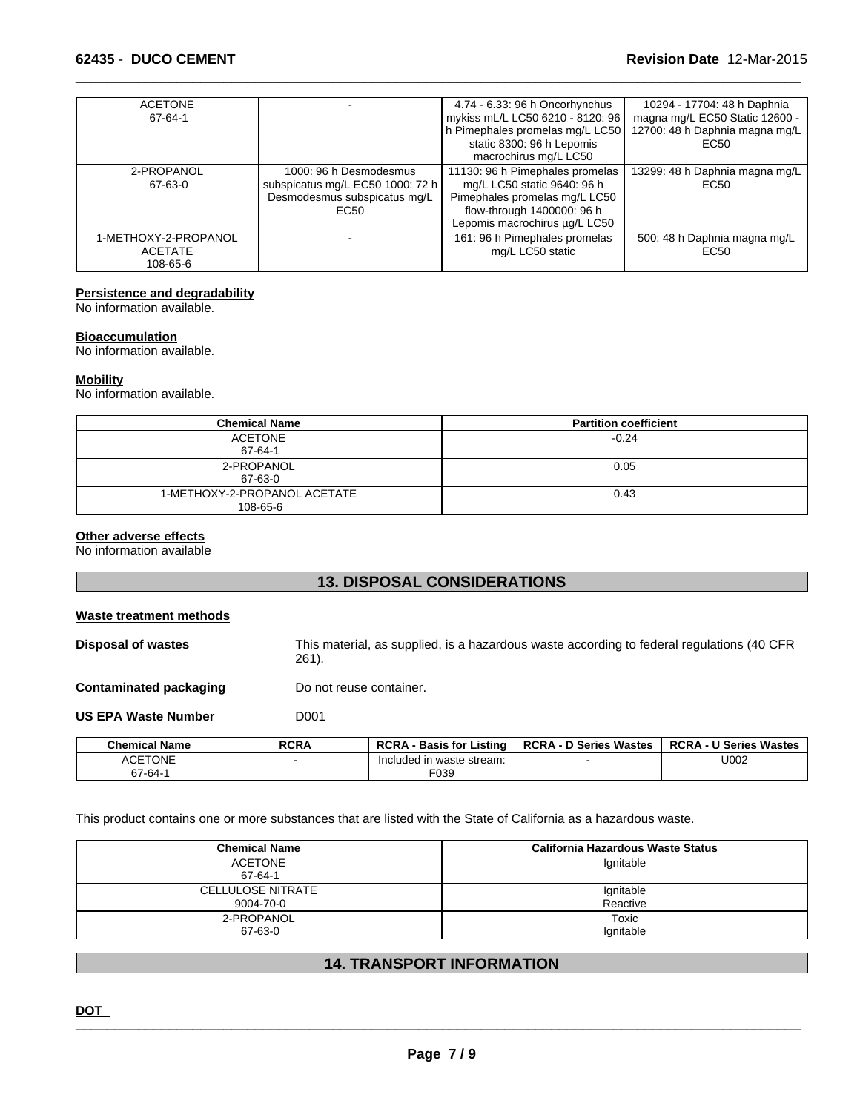| <b>ACETONE</b><br>67-64-1                          |                                                                                                                | 4.74 - 6.33: 96 h Oncorhynchus<br>mykiss mL/L LC50 6210 - 8120: 96                                                                                             | 10294 - 17704: 48 h Daphnia<br>magna mg/L EC50 Static 12600 - |
|----------------------------------------------------|----------------------------------------------------------------------------------------------------------------|----------------------------------------------------------------------------------------------------------------------------------------------------------------|---------------------------------------------------------------|
|                                                    |                                                                                                                | h Pimephales promelas mg/L LC50<br>static 8300: 96 h Lepomis                                                                                                   | 12700: 48 h Daphnia magna mg/L<br>EC <sub>50</sub>            |
|                                                    |                                                                                                                | macrochirus mg/L LC50                                                                                                                                          |                                                               |
| 2-PROPANOL<br>67-63-0                              | 1000: 96 h Desmodesmus<br>subspicatus mg/L EC50 1000: 72 h<br>Desmodesmus subspicatus mg/L<br>EC <sub>50</sub> | 11130: 96 h Pimephales promelas<br>mg/L LC50 static 9640: 96 h<br>Pimephales promelas mg/L LC50<br>flow-through 1400000: 96 h<br>Lepomis macrochirus µg/L LC50 | 13299: 48 h Daphnia magna mg/L<br>EC50                        |
| 1-METHOXY-2-PROPANOL<br><b>ACETATE</b><br>108-65-6 |                                                                                                                | 161: 96 h Pimephales promelas<br>mg/L LC50 static                                                                                                              | 500: 48 h Daphnia magna mg/L<br>EC50                          |

# **Persistence and degradability**

No information available.

#### **Bioaccumulation**

No information available.

#### **Mobility**

No information available.

| <b>Chemical Name</b>                     | <b>Partition coefficient</b> |
|------------------------------------------|------------------------------|
| ACETONE<br>67-64-1                       | $-0.24$                      |
| 2-PROPANOL<br>67-63-0                    | 0.05                         |
| 1-METHOXY-2-PROPANOL ACETATE<br>108-65-6 | 0.43                         |

#### **Other adverse effects**

No information available

# **13. DISPOSAL CONSIDERATIONS**

#### **Waste treatment methods**

**Disposal of wastes** This material, as supplied, is a hazardous waste according to federal regulations (40 CFR 261).

**Contaminated packaging** Do not reuse container.

**US EPA Waste Number D001** 

| <b>Chemical Name</b>   | <b>RCRA</b> | <b>RCRA</b><br>Listing<br><b>Basis for</b> | <b>RCRA - D Series Wastes</b> | <b>RCRA-U</b><br><b>U Series Wastes</b> |
|------------------------|-------------|--------------------------------------------|-------------------------------|-----------------------------------------|
| <b>ACETONE</b><br>AUE. |             | uded in waste stream:<br>-Inc              |                               | U002                                    |
| 67-64-                 |             | F039                                       |                               |                                         |

This product contains one or more substances that are listed with the State of California as a hazardous waste.

| <b>Chemical Name</b>     | California Hazardous Waste Status |
|--------------------------|-----------------------------------|
| ACETONE                  | Ignitable                         |
| 67-64-1                  |                                   |
| <b>CELLULOSE NITRATE</b> | Ignitable                         |
| 9004-70-0                | Reactive                          |
| 2-PROPANOL               | Toxic                             |
| 67-63-0                  | lgnitable                         |

## **14. TRANSPORT INFORMATION**

**DOT** \_\_\_\_\_\_\_\_\_\_\_\_\_\_\_\_\_\_\_\_\_\_\_\_\_\_\_\_\_\_\_\_\_\_\_\_\_\_\_\_\_\_\_\_\_\_\_\_\_\_\_\_\_\_\_\_\_\_\_\_\_\_\_\_\_\_\_\_\_\_\_\_\_\_\_\_\_\_\_\_\_\_\_\_\_\_\_\_\_\_\_\_\_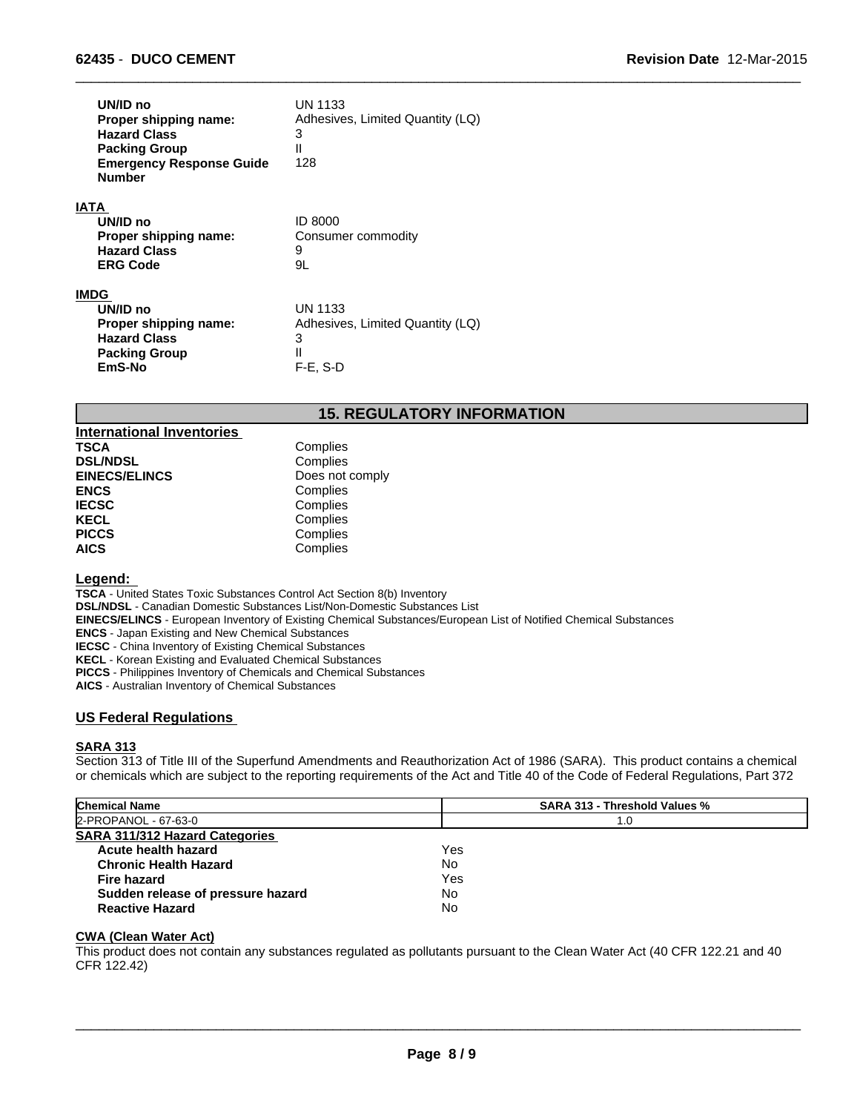| UN/ID no<br>Proper shipping name:<br><b>Hazard Class</b><br><b>Packing Group</b><br><b>Emergency Response Guide</b><br><b>Number</b> | <b>UN 1133</b><br>Adhesives, Limited Quantity (LQ)<br>3<br>$\mathsf{II}$<br>128        |
|--------------------------------------------------------------------------------------------------------------------------------------|----------------------------------------------------------------------------------------|
| IATA<br>UN/ID no<br>Proper shipping name:<br><b>Hazard Class</b><br><b>ERG Code</b>                                                  | <b>ID 8000</b><br>Consumer commodity<br>9<br>9L                                        |
| IMDG<br>UN/ID no<br>Proper shipping name:<br><b>Hazard Class</b><br><b>Packing Group</b><br>EmS-No                                   | <b>UN 1133</b><br>Adhesives, Limited Quantity (LQ)<br>3<br>$\mathsf{I}$<br>$F-E$ , S-D |

# **15. REGULATORY INFORMATION**

 $\overline{\phantom{a}}$  ,  $\overline{\phantom{a}}$  ,  $\overline{\phantom{a}}$  ,  $\overline{\phantom{a}}$  ,  $\overline{\phantom{a}}$  ,  $\overline{\phantom{a}}$  ,  $\overline{\phantom{a}}$  ,  $\overline{\phantom{a}}$  ,  $\overline{\phantom{a}}$  ,  $\overline{\phantom{a}}$  ,  $\overline{\phantom{a}}$  ,  $\overline{\phantom{a}}$  ,  $\overline{\phantom{a}}$  ,  $\overline{\phantom{a}}$  ,  $\overline{\phantom{a}}$  ,  $\overline{\phantom{a}}$ 

| <b>International Inventories</b> |                 |
|----------------------------------|-----------------|
| <b>TSCA</b>                      | Complies        |
| <b>DSL/NDSL</b>                  | Complies        |
| <b>EINECS/ELINCS</b>             | Does not comply |
| <b>ENCS</b>                      | Complies        |
| <b>IECSC</b>                     | Complies        |
| <b>KECL</b>                      | Complies        |
| <b>PICCS</b>                     | Complies        |
| <b>AICS</b>                      | Complies        |

#### **Legend:**

**TSCA** - United States Toxic Substances Control Act Section 8(b) Inventory **DSL/NDSL** - Canadian Domestic Substances List/Non-Domestic Substances List **EINECS/ELINCS** - European Inventory of Existing Chemical Substances/European List of Notified Chemical Substances **ENCS** - Japan Existing and New Chemical Substances **IECSC** - China Inventory of Existing Chemical Substances **KECL** - Korean Existing and Evaluated Chemical Substances **PICCS** - Philippines Inventory of Chemicals and Chemical Substances **AICS** - Australian Inventory of Chemical Substances

### **US Federal Regulations**

#### **SARA 313**

Section 313 of Title III of the Superfund Amendments and Reauthorization Act of 1986 (SARA). This product contains a chemical or chemicals which are subject to the reporting requirements of the Act and Title 40 of the Code of Federal Regulations, Part 372

| <b>Chemical Name</b>                  | <b>SARA 313 - Threshold Values %</b> |  |
|---------------------------------------|--------------------------------------|--|
| 2-PROPANOL - 67-63-0                  | 1.0                                  |  |
| <b>SARA 311/312 Hazard Categories</b> |                                      |  |
| Acute health hazard                   | Yes                                  |  |
| <b>Chronic Health Hazard</b>          | No                                   |  |
| <b>Fire hazard</b>                    | Yes                                  |  |
| Sudden release of pressure hazard     | No                                   |  |
| <b>Reactive Hazard</b>                | No                                   |  |

#### **CWA (Clean Water Act)**

This product does not contain any substances regulated as pollutants pursuant to the Clean Water Act (40 CFR 122.21 and 40 CFR 122.42)